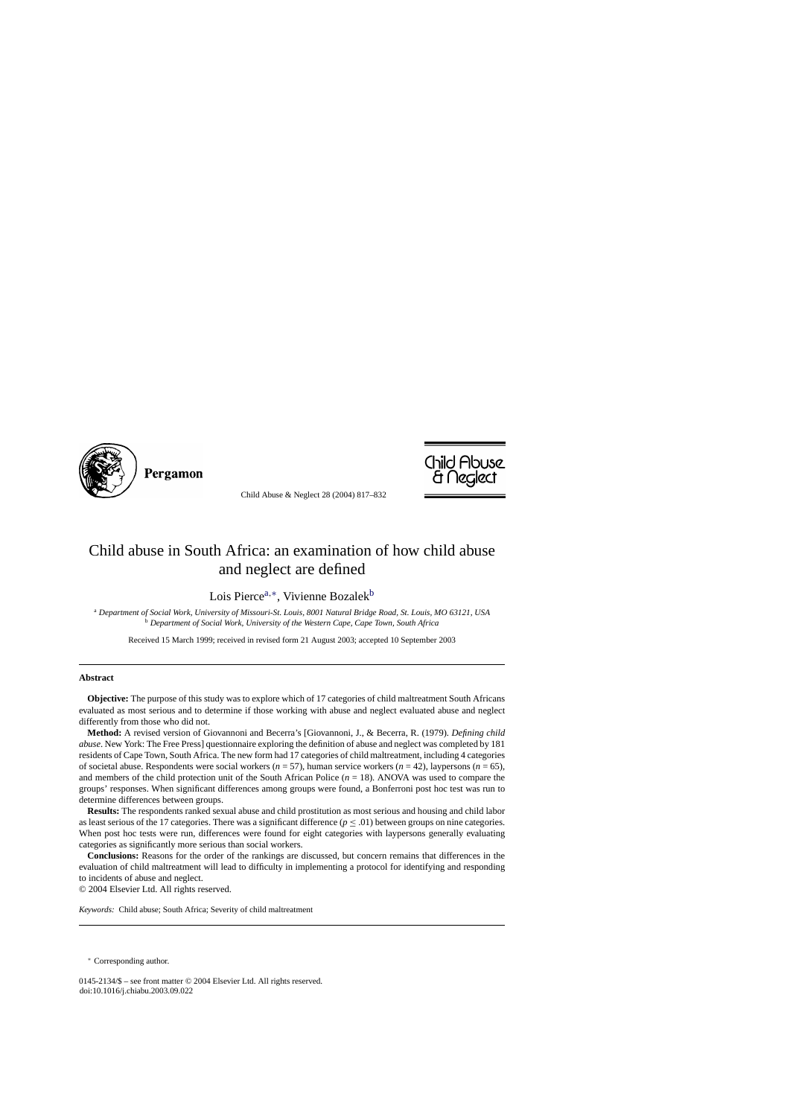

Pergamon

Child Abuse & Neglect 28 (2004) 817–832



## Child abuse in South Africa: an examination of how child abuse and neglect are defined

Lois Pierce<sup>a,∗</sup>, Vivienne Bozalek<sup>b</sup>

<sup>a</sup> *Department of Social Work, University of Missouri-St. Louis, 8001 Natural Bridge Road, St. Louis, MO 63121, USA* <sup>b</sup> *Department of Social Work, University of the Western Cape, Cape Town, South Africa*

Received 15 March 1999; received in revised form 21 August 2003; accepted 10 September 2003

## **Abstract**

**Objective:** The purpose of this study was to explore which of 17 categories of child maltreatment South Africans evaluated as most serious and to determine if those working with abuse and neglect evaluated abuse and neglect differently from those who did not.

**Method:** A revised version of Giovannoni and Becerra's [Giovannoni, J., & Becerra, R. (1979). *Defining child abuse*. New York: The Free Press] questionnaire exploring the definition of abuse and neglect was completed by 181 residents of Cape Town, South Africa. The new form had 17 categories of child maltreatment, including 4 categories of societal abuse. Respondents were social workers (*n* = 57), human service workers (*n* = 42), laypersons (*n* = 65), and members of the child protection unit of the South African Police  $(n = 18)$ . ANOVA was used to compare the groups' responses. When significant differences among groups were found, a Bonferroni post hoc test was run to determine differences between groups.

**Results:** The respondents ranked sexual abuse and child prostitution as most serious and housing and child labor as least serious of the 17 categories. There was a significant difference ( $p \leq .01$ ) between groups on nine categories. When post hoc tests were run, differences were found for eight categories with laypersons generally evaluating categories as significantly more serious than social workers.

**Conclusions:** Reasons for the order of the rankings are discussed, but concern remains that differences in the evaluation of child maltreatment will lead to difficulty in implementing a protocol for identifying and responding to incidents of abuse and neglect.

© 2004 Elsevier Ltd. All rights reserved.

*Keywords:* Child abuse; South Africa; Severity of child maltreatment

<sup>∗</sup> Corresponding author.

0145-2134/\$ – see front matter © 2004 Elsevier Ltd. All rights reserved. doi:10.1016/j.chiabu.2003.09.022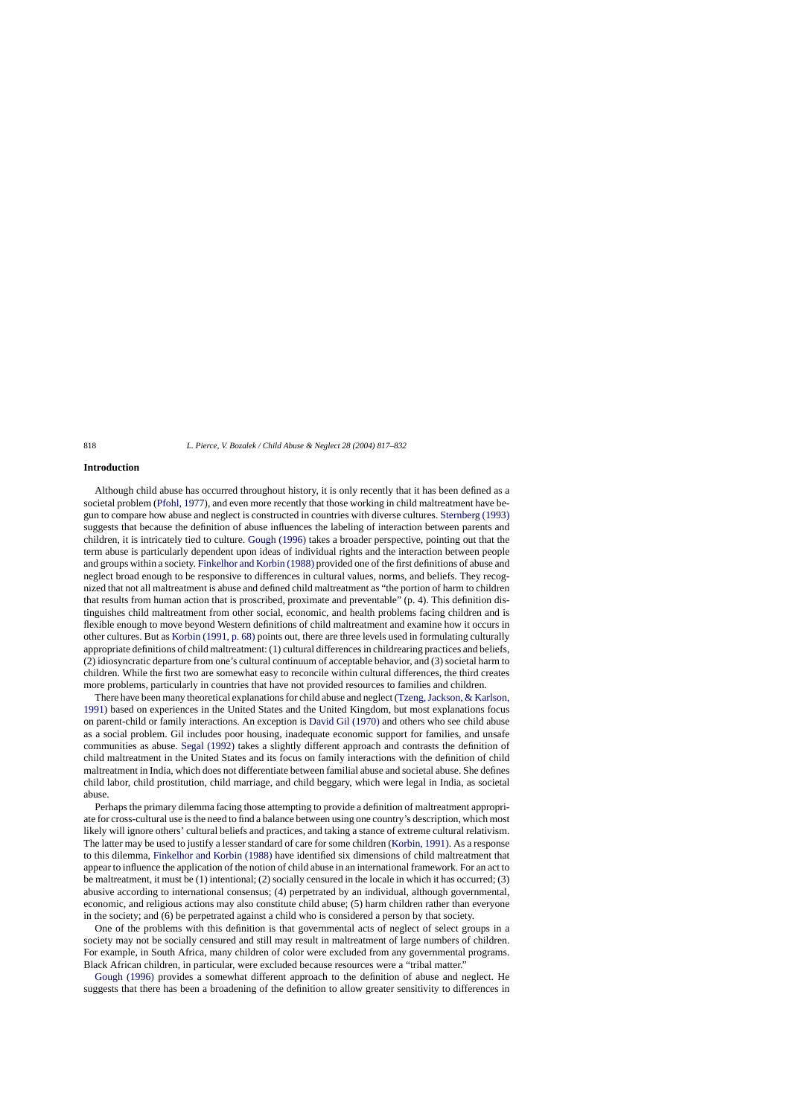## **Introduction**

Although child abuse has occurred throughout history, it is only recently that it has been defined as a societal problem [\(Pfohl, 1977\),](#page--1-0) and even more recently that those working in child maltreatment have begun to compare how abuse and neglect is constructed in countries with diverse cultures. [Sternberg \(1993\)](#page--1-0) suggests that because the definition of abuse influences the labeling of interaction between parents and children, it is intricately tied to culture. [Gough \(1996\)](#page--1-0) takes a broader perspective, pointing out that the term abuse is particularly dependent upon ideas of individual rights and the interaction between people and groups within a society. [Finkelhor and Korbin \(1988\)](#page--1-0) provided one of the first definitions of abuse and neglect broad enough to be responsive to differences in cultural values, norms, and beliefs. They recognized that not all maltreatment is abuse and defined child maltreatment as "the portion of harm to children that results from human action that is proscribed, proximate and preventable" (p. 4). This definition distinguishes child maltreatment from other social, economic, and health problems facing children and is flexible enough to move beyond Western definitions of child maltreatment and examine how it occurs in other cultures. But as [Korbin \(1991, p. 68\)](#page--1-0) points out, there are three levels used in formulating culturally appropriate definitions of child maltreatment: (1) cultural differences in childrearing practices and beliefs, (2) idiosyncratic departure from one's cultural continuum of acceptable behavior, and (3) societal harm to children. While the first two are somewhat easy to reconcile within cultural differences, the third creates more problems, particularly in countries that have not provided resources to families and children.

There have been many theoretical explanations for child abuse and neglect [\(Tzeng, Jackson, & Karlson,](#page--1-0) [1991\)](#page--1-0) based on experiences in the United States and the United Kingdom, but most explanations focus on parent-child or family interactions. An exception is [David Gil \(1970\)](#page--1-0) and others who see child abuse as a social problem. Gil includes poor housing, inadequate economic support for families, and unsafe communities as abuse. [Segal \(1992\)](#page--1-0) takes a slightly different approach and contrasts the definition of child maltreatment in the United States and its focus on family interactions with the definition of child maltreatment in India, which does not differentiate between familial abuse and societal abuse. She defines child labor, child prostitution, child marriage, and child beggary, which were legal in India, as societal abuse.

Perhaps the primary dilemma facing those attempting to provide a definition of maltreatment appropriate for cross-cultural use is the need to find a balance between using one country's description, which most likely will ignore others' cultural beliefs and practices, and taking a stance of extreme cultural relativism. The latter may be used to justify a lesser standard of care for some children ([Korbin, 1991\).](#page--1-0) As a response to this dilemma, [Finkelhor and Korbin \(1988\)](#page--1-0) have identified six dimensions of child maltreatment that appear to influence the application of the notion of child abuse in an international framework. For an act to be maltreatment, it must be (1) intentional; (2) socially censured in the locale in which it has occurred; (3) abusive according to international consensus; (4) perpetrated by an individual, although governmental, economic, and religious actions may also constitute child abuse; (5) harm children rather than everyone in the society; and (6) be perpetrated against a child who is considered a person by that society.

One of the problems with this definition is that governmental acts of neglect of select groups in a society may not be socially censured and still may result in maltreatment of large numbers of children. For example, in South Africa, many children of color were excluded from any governmental programs. Black African children, in particular, were excluded because resources were a "tribal matter."

[Gough \(1996\)](#page--1-0) provides a somewhat different approach to the definition of abuse and neglect. He suggests that there has been a broadening of the definition to allow greater sensitivity to differences in